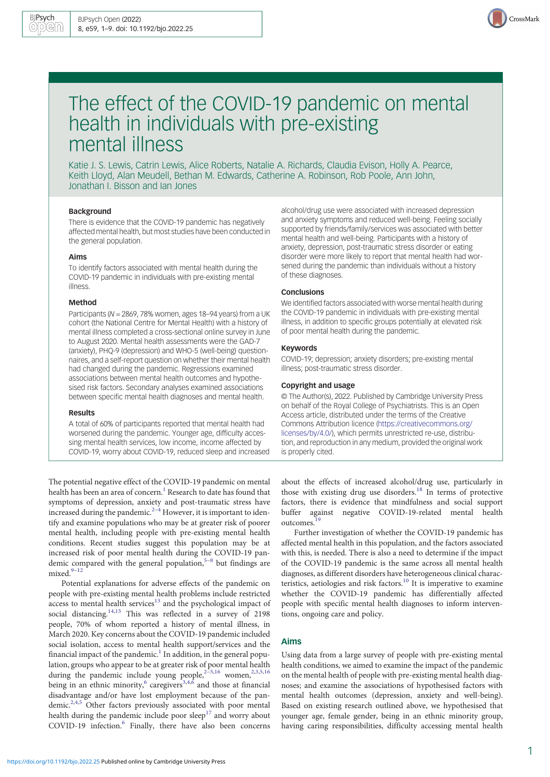

# The effect of the COVID-19 pandemic on mental health in individuals with pre-existing mental illness

Katie J. S. Lewis, Catrin Lewis, Alice Roberts, Natalie A. Richards, Claudia Evison, Holly A. Pearce, Keith Lloyd, Alan Meudell, Bethan M. Edwards, Catherine A. Robinson, Rob Poole, Ann John, Jonathan I. Bisson and Ian Jones

#### Background

There is evidence that the COVID-19 pandemic has negatively affected mental health, but most studies have been conducted in the general population.

#### Aims

To identify factors associated with mental health during the COVID-19 pandemic in individuals with pre-existing mental illness.

#### Method

Participants (N = 2869, 78% women, ages 18–94 years) from a UK cohort (the National Centre for Mental Health) with a history of mental illness completed a cross-sectional online survey in June to August 2020. Mental health assessments were the GAD-7 (anxiety), PHQ-9 (depression) and WHO-5 (well-being) questionnaires, and a self-report question on whether their mental health had changed during the pandemic. Regressions examined associations between mental health outcomes and hypothesised risk factors. Secondary analyses examined associations between specific mental health diagnoses and mental health.

#### Results

A total of 60% of participants reported that mental health had worsened during the pandemic. Younger age, difficulty accessing mental health services, low income, income affected by COVID-19, worry about COVID-19, reduced sleep and increased

The potential negative effect of the COVID-19 pandemic on mental health has been an area of concern.<sup>[1](#page-8-0)</sup> Research to date has found that symptoms of depression, anxiety and post-traumatic stress have increased during the pandemic. $2^{-4}$  $2^{-4}$  $2^{-4}$  $2^{-4}$  However, it is important to identify and examine populations who may be at greater risk of poorer mental health, including people with pre-existing mental health conditions. Recent studies suggest this population may be at increased risk of poor mental health during the COVID-19 pandemic compared with the general population, $5-8$  $5-8$  $5-8$  but findings are  $mixed.<sup>9-12</sup>$  $mixed.<sup>9-12</sup>$  $mixed.<sup>9-12</sup>$  $mixed.<sup>9-12</sup>$  $mixed.<sup>9-12</sup>$ 

Potential explanations for adverse effects of the pandemic on people with pre-existing mental health problems include restricted access to mental health services $13$  and the psychological impact of social distancing.<sup>[14](#page-8-0),[15](#page-8-0)</sup> This was reflected in a survey of 2198 people, 70% of whom reported a history of mental illness, in March 2020. Key concerns about the COVID-19 pandemic included social isolation, access to mental health support/services and the financial impact of the pandemic.<sup>[1](#page-8-0)</sup> In addition, in the general population, groups who appear to be at greater risk of poor mental health during the pandemic include young people,<sup>[2](#page-8-0)-[5,16](#page-8-0)</sup> women,<sup>2,[3,5,16](#page-8-0)</sup> being in an ethnic minority,<sup>[6](#page-8-0)</sup> caregivers<sup>[3,4,6](#page-8-0)</sup> and those at financial disadvantage and/or have lost employment because of the pan-demic.<sup>[2,4](#page-8-0),[5](#page-8-0)</sup> Other factors previously associated with poor mental health during the pandemic include poor  $\text{sleep}^{17}$  $\text{sleep}^{17}$  $\text{sleep}^{17}$  and worry about COVID-19 infection.[6](#page-8-0) Finally, there have also been concerns alcohol/drug use were associated with increased depression and anxiety symptoms and reduced well-being. Feeling socially supported by friends/family/services was associated with better mental health and well-being. Participants with a history of anxiety, depression, post-traumatic stress disorder or eating disorder were more likely to report that mental health had worsened during the pandemic than individuals without a history of these diagnoses.

#### **Conclusions**

We identified factors associated with worse mental health during the COVID-19 pandemic in individuals with pre-existing mental illness, in addition to specific groups potentially at elevated risk of poor mental health during the pandemic.

## Keywords

COVID-19; depression; anxiety disorders; pre-existing mental illness; post-traumatic stress disorder.

### Copyright and usage

© The Author(s), 2022. Published by Cambridge University Press on behalf of the Royal College of Psychiatrists. This is an Open Access article, distributed under the terms of the Creative Commons Attribution licence [\(https://creativecommons.org/](https://creativecommons.org/licenses/by/4.0/) [licenses/by/4.0/](https://creativecommons.org/licenses/by/4.0/)), which permits unrestricted re-use, distribution, and reproduction in any medium, provided the original work is properly cited.

about the effects of increased alcohol/drug use, particularly in those with existing drug use disorders.<sup>[18](#page-8-0)</sup> In terms of protective factors, there is evidence that mindfulness and social support buffer against negative COVID-19-related mental health outcomes.<sup>[19](#page-8-0)</sup>

Further investigation of whether the COVID-19 pandemic has affected mental health in this population, and the factors associated with this, is needed. There is also a need to determine if the impact of the COVID-19 pandemic is the same across all mental health diagnoses, as different disorders have heterogeneous clinical characteristics, aetiologies and risk factors.<sup>10</sup> It is imperative to examine whether the COVID-19 pandemic has differentially affected people with specific mental health diagnoses to inform interventions, ongoing care and policy.

### Aims

Using data from a large survey of people with pre-existing mental health conditions, we aimed to examine the impact of the pandemic on the mental health of people with pre-existing mental health diagnoses; and examine the associations of hypothesised factors with mental health outcomes (depression, anxiety and well-being). Based on existing research outlined above, we hypothesised that younger age, female gender, being in an ethnic minority group, having caring responsibilities, difficulty accessing mental health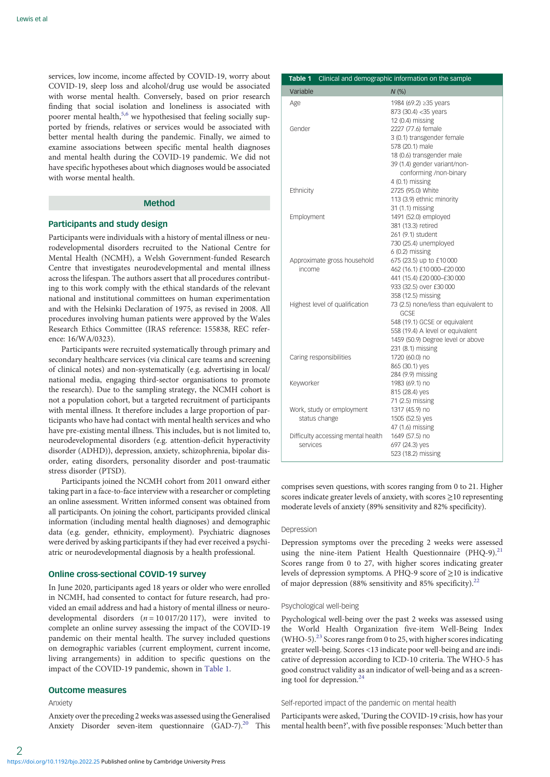<span id="page-1-0"></span>services, low income, income affected by COVID-19, worry about COVID-19, sleep loss and alcohol/drug use would be associated with worse mental health. Conversely, based on prior research finding that social isolation and loneliness is associated with poorer mental health,<sup>5,[6](#page-8-0)</sup> we hypothesised that feeling socially supported by friends, relatives or services would be associated with better mental health during the pandemic. Finally, we aimed to examine associations between specific mental health diagnoses and mental health during the COVID-19 pandemic. We did not have specific hypotheses about which diagnoses would be associated with worse mental health.

## Method

#### Participants and study design

Participants were individuals with a history of mental illness or neurodevelopmental disorders recruited to the National Centre for Mental Health (NCMH), a Welsh Government-funded Research Centre that investigates neurodevelopmental and mental illness across the lifespan. The authors assert that all procedures contributing to this work comply with the ethical standards of the relevant national and institutional committees on human experimentation and with the Helsinki Declaration of 1975, as revised in 2008. All procedures involving human patients were approved by the Wales Research Ethics Committee (IRAS reference: 155838, REC reference: 16/WA/0323).

Participants were recruited systematically through primary and secondary healthcare services (via clinical care teams and screening of clinical notes) and non-systematically (e.g. advertising in local/ national media, engaging third-sector organisations to promote the research). Due to the sampling strategy, the NCMH cohort is not a population cohort, but a targeted recruitment of participants with mental illness. It therefore includes a large proportion of participants who have had contact with mental health services and who have pre-existing mental illness. This includes, but is not limited to, neurodevelopmental disorders (e.g. attention-deficit hyperactivity disorder (ADHD)), depression, anxiety, schizophrenia, bipolar disorder, eating disorders, personality disorder and post-traumatic stress disorder (PTSD).

Participants joined the NCMH cohort from 2011 onward either taking part in a face-to-face interview with a researcher or completing an online assessment. Written informed consent was obtained from all participants. On joining the cohort, participants provided clinical information (including mental health diagnoses) and demographic data (e.g. gender, ethnicity, employment). Psychiatric diagnoses were derived by asking participants if they had ever received a psychiatric or neurodevelopmental diagnosis by a health professional.

### Online cross-sectional COVID-19 survey

In June 2020, participants aged 18 years or older who were enrolled in NCMH, had consented to contact for future research, had provided an email address and had a history of mental illness or neurodevelopmental disorders  $(n = 10017/20117)$ , were invited to complete an online survey assessing the impact of the COVID-19 pandemic on their mental health. The survey included questions on demographic variables (current employment, current income, living arrangements) in addition to specific questions on the impact of the COVID-19 pandemic, shown in Table 1.

## Outcome measures

### Anxiety

Anxiety over the preceding 2 weeks was assessed using the Generalised Anxiety Disorder seven-item questionnaire (GAD-7).<sup>[20](#page-8-0)</sup> This

| Clinical and demographic information on the sample<br>Table 1 |                                               |
|---------------------------------------------------------------|-----------------------------------------------|
| Variable                                                      | N(%)                                          |
| Age                                                           | 1984 (69.2) ≥35 years                         |
|                                                               | 873 (30.4) < 35 years                         |
|                                                               | 12 (0.4) missing                              |
| Gender                                                        | 2227 (77.6) female                            |
|                                                               | 3 (0.1) transgender female                    |
|                                                               | 578 (20.1) male                               |
|                                                               | 18 (0.6) transgender male                     |
|                                                               | 39 (1.4) gender variant/non-                  |
|                                                               | conforming /non-binary                        |
|                                                               | 4 (0.1) missing                               |
| Ethnicity                                                     | 2725 (95.0) White                             |
|                                                               | 113 (3.9) ethnic minority                     |
|                                                               | 31 (1.1) missing                              |
| Employment                                                    | 1491 (52.0) employed                          |
|                                                               | 381 (13.3) retired                            |
|                                                               | 261 (9.1) student                             |
|                                                               | 730 (25.4) unemployed                         |
|                                                               | $6(0.2)$ missing                              |
| Approximate gross household                                   | 675 (23.5) up to £10 000                      |
| income                                                        | 462 (16.1) £10 000-£20 000                    |
|                                                               | 441 (15.4) £20 000-£30 000                    |
|                                                               | 933 (32.5) over £30 000                       |
|                                                               | 358 (12.5) missing                            |
| Highest level of qualification                                | 73 (2.5) none/less than equivalent to<br>GCSE |
|                                                               | 548 (19.1) GCSE or equivalent                 |
|                                                               | 558 (19.4) A level or equivalent              |
|                                                               | 1459 (50.9) Degree level or above             |
|                                                               | 231 (8.1) missing                             |
| Caring responsibilities                                       | 1720 (60.0) no                                |
|                                                               | 865 (30.1) yes                                |
|                                                               | 284 (9.9) missing                             |
| Keyworker                                                     | 1983 (69.1) no                                |
|                                                               | 815 (28.4) yes                                |
|                                                               | 71 (2.5) missing                              |
| Work, study or employment                                     | 1317 (45.9) no                                |
| status change                                                 | 1505 (52.5) yes                               |
|                                                               | 47 (1.6) missing                              |
| Difficulty accessing mental health                            | 1649 (57.5) no                                |
| services                                                      | 697 (24.3) yes                                |
|                                                               | 523 (18.2) missing                            |

comprises seven questions, with scores ranging from 0 to 21. Higher scores indicate greater levels of anxiety, with scores ≥10 representing moderate levels of anxiety (89% sensitivity and 82% specificity).

### Depression

Depression symptoms over the preceding 2 weeks were assessed using the nine-item Patient Health Questionnaire (PHQ-9).<sup>21</sup> Scores range from 0 to 27, with higher scores indicating greater levels of depression symptoms. A PHQ-9 score of ≥10 is indicative of major depression (88% sensitivity and 85% specificity).<sup>[22](#page-8-0)</sup>

#### Psychological well-being

Psychological well-being over the past 2 weeks was assessed using the World Health Organization five-item Well-Being Index (WHO-5).<sup>[23](#page-8-0)</sup> Scores range from 0 to 25, with higher scores indicating greater well-being. Scores <13 indicate poor well-being and are indicative of depression according to ICD-10 criteria. The WHO-5 has good construct validity as an indicator of well-being and as a screening tool for depression.<sup>2</sup>

#### Self-reported impact of the pandemic on mental health

Participants were asked, 'During the COVID-19 crisis, how has your mental health been?', with five possible responses: 'Much better than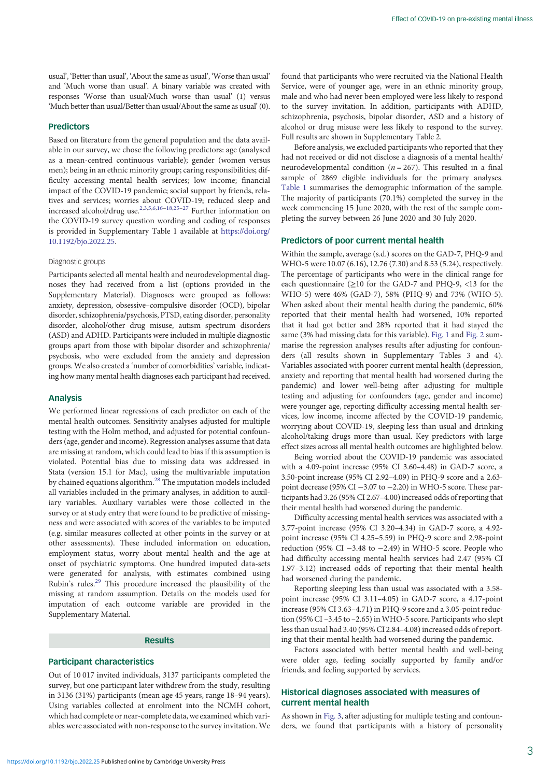usual', 'Better than usual', 'About the same as usual', 'Worse than usual' and 'Much worse than usual'. A binary variable was created with responses 'Worse than usual/Much worse than usual' (1) versus 'Much better than usual/Better than usual/About the same as usual'(0).

# Predictors

Based on literature from the general population and the data available in our survey, we chose the following predictors: age (analysed as a mean-centred continuous variable); gender (women versus men); being in an ethnic minority group; caring responsibilities; difficulty accessing mental health services; low income; financial impact of the COVID-19 pandemic; social support by friends, relatives and services; worries about COVID-19; reduced sleep and increased alcohol/drug use[.2](#page-8-0),[3,5,6](#page-8-0),[16](#page-8-0)–[18](#page-8-0),[25](#page-8-0)–[27](#page-8-0) Further information on the COVID-19 survey question wording and coding of responses is provided in Supplementary Table 1 available at [https://doi.org/](https://doi.org/10.1192/bjo.2022.25) [10.1192/bjo.2022.25](https://doi.org/10.1192/bjo.2022.25).

#### Diagnostic groups

Participants selected all mental health and neurodevelopmental diagnoses they had received from a list (options provided in the Supplementary Material). Diagnoses were grouped as follows: anxiety, depression, obsessive–compulsive disorder (OCD), bipolar disorder, schizophrenia/psychosis, PTSD, eating disorder, personality disorder, alcohol/other drug misuse, autism spectrum disorders (ASD) and ADHD. Participants were included in multiple diagnostic groups apart from those with bipolar disorder and schizophrenia/ psychosis, who were excluded from the anxiety and depression groups. We also created a 'number of comorbidities' variable, indicating how many mental health diagnoses each participant had received.

## Analysis

We performed linear regressions of each predictor on each of the mental health outcomes. Sensitivity analyses adjusted for multiple testing with the Holm method, and adjusted for potential confounders (age, gender and income). Regression analyses assume that data are missing at random, which could lead to bias if this assumption is violated. Potential bias due to missing data was addressed in Stata (version 15.1 for Mac), using the multivariable imputation by chained equations algorithm.[28](#page-8-0) The imputation models included all variables included in the primary analyses, in addition to auxiliary variables. Auxiliary variables were those collected in the survey or at study entry that were found to be predictive of missingness and were associated with scores of the variables to be imputed (e.g. similar measures collected at other points in the survey or at other assessments). These included information on education, employment status, worry about mental health and the age at onset of psychiatric symptoms. One hundred imputed data-sets were generated for analysis, with estimates combined using Rubin's rules.[29](#page-8-0) This procedure increased the plausibility of the missing at random assumption. Details on the models used for imputation of each outcome variable are provided in the Supplementary Material.

# Results

## Participant characteristics

Out of 10 017 invited individuals, 3137 participants completed the survey, but one participant later withdrew from the study, resulting in 3136 (31%) participants (mean age 45 years, range 18–94 years). Using variables collected at enrolment into the NCMH cohort, which had complete or near-complete data, we examined which variables were associated with non-response to the survey invitation. We

found that participants who were recruited via the National Health Service, were of younger age, were in an ethnic minority group, male and who had never been employed were less likely to respond to the survey invitation. In addition, participants with ADHD, schizophrenia, psychosis, bipolar disorder, ASD and a history of alcohol or drug misuse were less likely to respond to the survey. Full results are shown in Supplementary Table 2.

Before analysis, we excluded participants who reported that they had not received or did not disclose a diagnosis of a mental health/ neurodevelopmental condition ( $n = 267$ ). This resulted in a final sample of 2869 eligible individuals for the primary analyses. [Table 1](#page-1-0) summarises the demographic information of the sample. The majority of participants (70.1%) completed the survey in the week commencing 15 June 2020, with the rest of the sample completing the survey between 26 June 2020 and 30 July 2020.

## Predictors of poor current mental health

Within the sample, average (s.d.) scores on the GAD-7, PHQ-9 and WHO-5 were 10.07 (6.16), 12.76 (7.30) and 8.53 (5.24), respectively. The percentage of participants who were in the clinical range for each questionnaire ( $\geq$ 10 for the GAD-7 and PHQ-9, <13 for the WHO-5) were 46% (GAD-7), 58% (PHQ-9) and 73% (WHO-5). When asked about their mental health during the pandemic, 60% reported that their mental health had worsened, 10% reported that it had got better and 28% reported that it had stayed the same (3% had missing data for this variable). [Fig. 1](#page-3-0) and [Fig. 2](#page-4-0) summarise the regression analyses results after adjusting for confounders (all results shown in Supplementary Tables 3 and 4). Variables associated with poorer current mental health (depression, anxiety and reporting that mental health had worsened during the pandemic) and lower well-being after adjusting for multiple testing and adjusting for confounders (age, gender and income) were younger age, reporting difficulty accessing mental health services, low income, income affected by the COVID-19 pandemic, worrying about COVID-19, sleeping less than usual and drinking alcohol/taking drugs more than usual. Key predictors with large effect sizes across all mental health outcomes are highlighted below.

Being worried about the COVID-19 pandemic was associated with a 4.09-point increase (95% CI 3.60–4.48) in GAD-7 score, a 3.50-point increase (95% CI 2.92–4.09) in PHQ-9 score and a 2.63 point decrease (95% CI −3.07 to −2.20) in WHO-5 score. These participants had 3.26 (95% CI 2.67–4.00) increased odds of reporting that their mental health had worsened during the pandemic.

Difficulty accessing mental health services was associated with a 3.77-point increase (95% CI 3.20–4.34) in GAD-7 score, a 4.92 point increase (95% CI 4.25–5.59) in PHQ-9 score and 2.98-point reduction (95% CI −3.48 to −2.49) in WHO-5 score. People who had difficulty accessing mental health services had 2.47 (95% CI 1.97–3.12) increased odds of reporting that their mental health had worsened during the pandemic.

Reporting sleeping less than usual was associated with a 3.58 point increase (95% CI 3.11–4.05) in GAD-7 score, a 4.17-point increase (95% CI 3.63–4.71) in PHQ-9 score and a 3.05-point reduction (95% CI –3.45 to –2.65) in WHO-5 score. Participants who slept less than usual had 3.40 (95% CI 2.84–4.08) increased odds of reporting that their mental health had worsened during the pandemic.

Factors associated with better mental health and well-being were older age, feeling socially supported by family and/or friends, and feeling supported by services.

# Historical diagnoses associated with measures of current mental health

As shown in [Fig. 3,](#page-5-0) after adjusting for multiple testing and confounders, we found that participants with a history of personality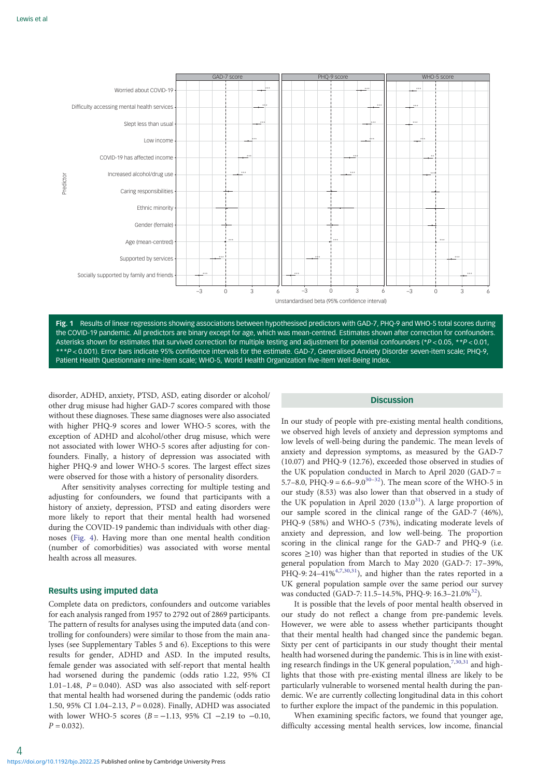<span id="page-3-0"></span>

Fig. 1 Results of linear regressions showing associations between hypothesised predictors with GAD-7, PHQ-9 and WHO-5 total scores during the COVID-19 pandemic. All predictors are binary except for age, which was mean-centred. Estimates shown after correction for confounders. Asterisks shown for estimates that survived correction for multiple testing and adjustment for potential confounders (\*P < 0.05, \*\*P < 0.01, \*\*\*P < 0.001). Error bars indicate 95% confidence intervals for the estimate. GAD-7, Generalised Anxiety Disorder seven-item scale; PHQ-9, Patient Health Questionnaire nine-item scale; WHO-5, World Health Organization five-item Well-Being Index.

disorder, ADHD, anxiety, PTSD, ASD, eating disorder or alcohol/ other drug misuse had higher GAD-7 scores compared with those without these diagnoses. These same diagnoses were also associated with higher PHQ-9 scores and lower WHO-5 scores, with the exception of ADHD and alcohol/other drug misuse, which were not associated with lower WHO-5 scores after adjusting for confounders. Finally, a history of depression was associated with higher PHQ-9 and lower WHO-5 scores. The largest effect sizes were observed for those with a history of personality disorders.

After sensitivity analyses correcting for multiple testing and adjusting for confounders, we found that participants with a history of anxiety, depression, PTSD and eating disorders were more likely to report that their mental health had worsened during the COVID-19 pandemic than individuals with other diagnoses ([Fig. 4](#page-6-0)). Having more than one mental health condition (number of comorbidities) was associated with worse mental health across all measures.

# Results using imputed data

Complete data on predictors, confounders and outcome variables for each analysis ranged from 1957 to 2792 out of 2869 participants. The pattern of results for analyses using the imputed data (and controlling for confounders) were similar to those from the main analyses (see Supplementary Tables 5 and 6). Exceptions to this were results for gender, ADHD and ASD. In the imputed results, female gender was associated with self-report that mental health had worsened during the pandemic (odds ratio 1.22, 95% CI 1.01–1.48,  $P = 0.040$ ). ASD was also associated with self-report that mental health had worsened during the pandemic (odds ratio 1.50, 95% CI 1.04–2.13,  $P = 0.028$ ). Finally, ADHD was associated with lower WHO-5 scores  $(B = -1.13, 95\% \text{ CI} -2.19 \text{ to } -0.10,$  $P = 0.032$ ).

# **Discussion**

In our study of people with pre-existing mental health conditions, we observed high levels of anxiety and depression symptoms and low levels of well-being during the pandemic. The mean levels of anxiety and depression symptoms, as measured by the GAD-7 (10.07) and PHQ-9 (12.76), exceeded those observed in studies of the UK population conducted in March to April 2020 (GAD-7 = 5.7–8.0, PHQ-9 = 6.6–9.0<sup>[30](#page-8-0)–32</sup>). The mean score of the WHO-5 in our study (8.53) was also lower than that observed in a study of the UK population in April 2020  $(13.0^{31})$ . A large proportion of our sample scored in the clinical range of the GAD-7 (46%), PHQ-9 (58%) and WHO-5 (73%), indicating moderate levels of anxiety and depression, and low well-being. The proportion scoring in the clinical range for the GAD-7 and PHQ-9 (i.e. scores  $\geq$ 10) was higher than that reported in studies of the UK general population from March to May 2020 (GAD-7: 17–39%, PHQ-9:  $24-41\%^{4,7,30,31}$  $24-41\%^{4,7,30,31}$  $24-41\%^{4,7,30,31}$ ), and higher than the rates reported in a UK general population sample over the same period our survey was conducted (GAD-7: 11.5–14.5%, PHQ-9: 16.3–21.0%<sup>32</sup>).

It is possible that the levels of poor mental health observed in our study do not reflect a change from pre-pandemic levels. However, we were able to assess whether participants thought that their mental health had changed since the pandemic began. Sixty per cent of participants in our study thought their mental health had worsened during the pandemic. This is in line with existing research findings in the UK general population,  $7,30,31$  $7,30,31$  $7,30,31$  $7,30,31$  and highlights that those with pre-existing mental illness are likely to be particularly vulnerable to worsened mental health during the pandemic. We are currently collecting longitudinal data in this cohort to further explore the impact of the pandemic in this population.

When examining specific factors, we found that younger age, difficulty accessing mental health services, low income, financial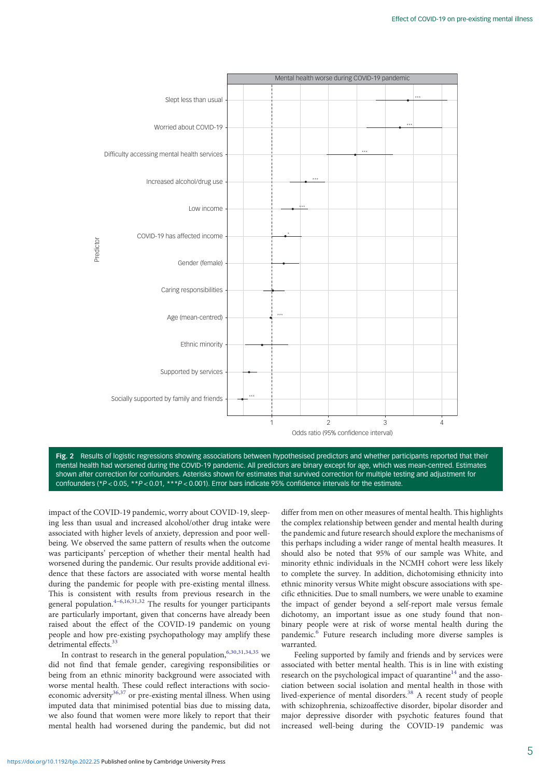<span id="page-4-0"></span>

Fig. 2 Results of logistic regressions showing associations between hypothesised predictors and whether participants reported that their mental health had worsened during the COVID-19 pandemic. All predictors are binary except for age, which was mean-centred. Estimates shown after correction for confounders. Asterisks shown for estimates that survived correction for multiple testing and adjustment for confounders (\*P < 0.05, \*\*P < 0.01, \*\*\*P < 0.001). Error bars indicate 95% confidence intervals for the estimate.

impact of the COVID-19 pandemic, worry about COVID-19, sleeping less than usual and increased alcohol/other drug intake were associated with higher levels of anxiety, depression and poor wellbeing. We observed the same pattern of results when the outcome was participants' perception of whether their mental health had worsened during the pandemic. Our results provide additional evidence that these factors are associated with worse mental health during the pandemic for people with pre-existing mental illness. This is consistent with results from previous research in the general population.<sup>[4](#page-8-0)–[6,16,31,32](#page-8-0)</sup> The results for younger participants are particularly important, given that concerns have already been raised about the effect of the COVID-19 pandemic on young people and how pre-existing psychopathology may amplify these detrimental effects.<sup>[33](#page-8-0)</sup>

In contrast to research in the general population,  $6,30,31,34,35$  $6,30,31,34,35$  $6,30,31,34,35$  $6,30,31,34,35$  $6,30,31,34,35$  we did not find that female gender, caregiving responsibilities or being from an ethnic minority background were associated with worse mental health. These could reflect interactions with socioeconomic adversity $36,37$  or pre-existing mental illness. When using imputed data that minimised potential bias due to missing data, we also found that women were more likely to report that their mental health had worsened during the pandemic, but did not

differ from men on other measures of mental health. This highlights the complex relationship between gender and mental health during the pandemic and future research should explore the mechanisms of this perhaps including a wider range of mental health measures. It should also be noted that 95% of our sample was White, and minority ethnic individuals in the NCMH cohort were less likely to complete the survey. In addition, dichotomising ethnicity into ethnic minority versus White might obscure associations with specific ethnicities. Due to small numbers, we were unable to examine the impact of gender beyond a self-report male versus female dichotomy, an important issue as one study found that nonbinary people were at risk of worse mental health during the pandemic.[6](#page-8-0) Future research including more diverse samples is warranted.

Feeling supported by family and friends and by services were associated with better mental health. This is in line with existing research on the psychological impact of quarantine<sup>14</sup> and the association between social isolation and mental health in those with lived-experience of mental disorders.<sup>[38](#page-8-0)</sup> A recent study of people with schizophrenia, schizoaffective disorder, bipolar disorder and major depressive disorder with psychotic features found that increased well-being during the COVID-19 pandemic was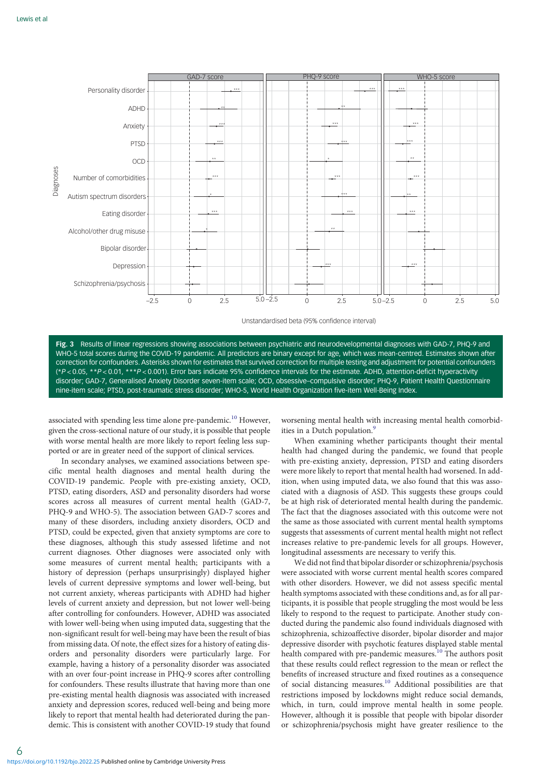<span id="page-5-0"></span>

Unstandardised beta (95% confidence interval)

Fig. 3 Results of linear regressions showing associations between psychiatric and neurodevelopmental diagnoses with GAD-7, PHQ-9 and WHO-5 total scores during the COVID-19 pandemic. All predictors are binary except for age, which was mean-centred. Estimates shown after correction for confounders. Asterisks shown for estimates that survived correction for multiple testing and adjustment for potential confounders (\*P < 0.05, \*\*P < 0.01, \*\*\*P < 0.001). Error bars indicate 95% confidence intervals for the estimate. ADHD, attention-deficit hyperactivity disorder; GAD-7, Generalised Anxiety Disorder seven-item scale; OCD, obsessive–compulsive disorder; PHQ-9, Patient Health Questionnaire nine-item scale; PTSD, post-traumatic stress disorder; WHO-5, World Health Organization five-item Well-Being Index.

associated with spending less time alone pre-pandemic.<sup>[10](#page-8-0)</sup> However, given the cross-sectional nature of our study, it is possible that people with worse mental health are more likely to report feeling less supported or are in greater need of the support of clinical services.

In secondary analyses, we examined associations between specific mental health diagnoses and mental health during the COVID-19 pandemic. People with pre-existing anxiety, OCD, PTSD, eating disorders, ASD and personality disorders had worse scores across all measures of current mental health (GAD-7, PHQ-9 and WHO-5). The association between GAD-7 scores and many of these disorders, including anxiety disorders, OCD and PTSD, could be expected, given that anxiety symptoms are core to these diagnoses, although this study assessed lifetime and not current diagnoses. Other diagnoses were associated only with some measures of current mental health; participants with a history of depression (perhaps unsurprisingly) displayed higher levels of current depressive symptoms and lower well-being, but not current anxiety, whereas participants with ADHD had higher levels of current anxiety and depression, but not lower well-being after controlling for confounders. However, ADHD was associated with lower well-being when using imputed data, suggesting that the non-significant result for well-being may have been the result of bias from missing data. Of note, the effect sizes for a history of eating disorders and personality disorders were particularly large. For example, having a history of a personality disorder was associated with an over four-point increase in PHQ-9 scores after controlling for confounders. These results illustrate that having more than one pre-existing mental health diagnosis was associated with increased anxiety and depression scores, reduced well-being and being more likely to report that mental health had deteriorated during the pandemic. This is consistent with another COVID-19 study that found

worsening mental health with increasing mental health comorbid-ities in a Dutch population.<sup>[9](#page-8-0)</sup>

When examining whether participants thought their mental health had changed during the pandemic, we found that people with pre-existing anxiety, depression, PTSD and eating disorders were more likely to report that mental health had worsened. In addition, when using imputed data, we also found that this was associated with a diagnosis of ASD. This suggests these groups could be at high risk of deteriorated mental health during the pandemic. The fact that the diagnoses associated with this outcome were not the same as those associated with current mental health symptoms suggests that assessments of current mental health might not reflect increases relative to pre-pandemic levels for all groups. However, longitudinal assessments are necessary to verify this.

We did not find that bipolar disorder or schizophrenia/psychosis were associated with worse current mental health scores compared with other disorders. However, we did not assess specific mental health symptoms associated with these conditions and, as for all participants, it is possible that people struggling the most would be less likely to respond to the request to participate. Another study conducted during the pandemic also found individuals diagnosed with schizophrenia, schizoaffective disorder, bipolar disorder and major depressive disorder with psychotic features displayed stable mental health compared with pre-pandemic measures.<sup>[10](#page-8-0)</sup> The authors posit that these results could reflect regression to the mean or reflect the benefits of increased structure and fixed routines as a consequence of social distancing measures[.10](#page-8-0) Additional possibilities are that restrictions imposed by lockdowns might reduce social demands, which, in turn, could improve mental health in some people. However, although it is possible that people with bipolar disorder or schizophrenia/psychosis might have greater resilience to the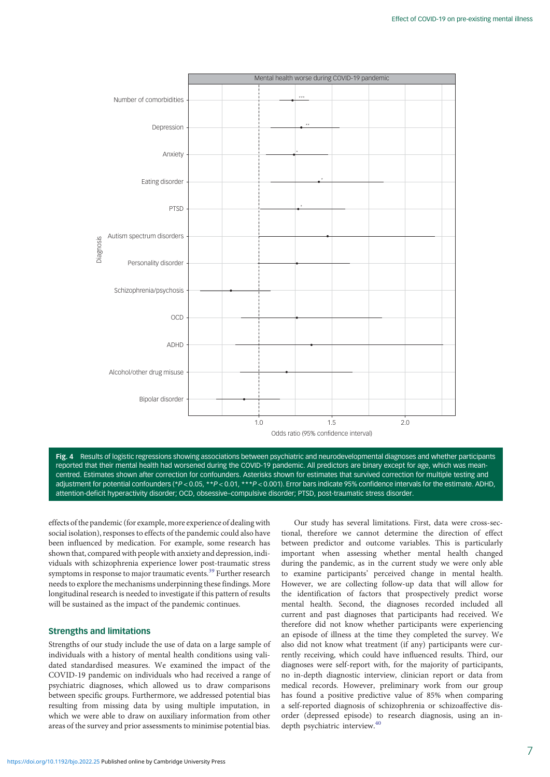<span id="page-6-0"></span>

Fig. 4 Results of logistic regressions showing associations between psychiatric and neurodevelopmental diagnoses and whether participants reported that their mental health had worsened during the COVID-19 pandemic. All predictors are binary except for age, which was meancentred. Estimates shown after correction for confounders. Asterisks shown for estimates that survived correction for multiple testing and adjustment for potential confounders (\*P < 0.05, \*\*P < 0.01, \*\*\*P < 0.001). Error bars indicate 95% confidence intervals for the estimate. ADHD, attention-deficit hyperactivity disorder; OCD, obsessive–compulsive disorder; PTSD, post-traumatic stress disorder.

effects of the pandemic (for example, more experience of dealing with social isolation), responses to effects of the pandemic could also have been influenced by medication. For example, some research has shown that, compared with people with anxiety and depression, individuals with schizophrenia experience lower post-traumatic stress symptoms in response to major traumatic events.<sup>[39](#page-8-0)</sup> Further research needs to explore the mechanisms underpinning these findings. More longitudinal research is needed to investigate if this pattern of results will be sustained as the impact of the pandemic continues.

### Strengths and limitations

Strengths of our study include the use of data on a large sample of individuals with a history of mental health conditions using validated standardised measures. We examined the impact of the COVID-19 pandemic on individuals who had received a range of psychiatric diagnoses, which allowed us to draw comparisons between specific groups. Furthermore, we addressed potential bias resulting from missing data by using multiple imputation, in which we were able to draw on auxiliary information from other areas of the survey and prior assessments to minimise potential bias.

Our study has several limitations. First, data were cross-sectional, therefore we cannot determine the direction of effect between predictor and outcome variables. This is particularly important when assessing whether mental health changed during the pandemic, as in the current study we were only able to examine participants' perceived change in mental health. However, we are collecting follow-up data that will allow for the identification of factors that prospectively predict worse mental health. Second, the diagnoses recorded included all current and past diagnoses that participants had received. We therefore did not know whether participants were experiencing an episode of illness at the time they completed the survey. We also did not know what treatment (if any) participants were currently receiving, which could have influenced results. Third, our diagnoses were self-report with, for the majority of participants, no in-depth diagnostic interview, clinician report or data from medical records. However, preliminary work from our group has found a positive predictive value of 85% when comparing a self-reported diagnosis of schizophrenia or schizoaffective disorder (depressed episode) to research diagnosis, using an in-depth psychiatric interview.<sup>[40](#page-8-0)</sup>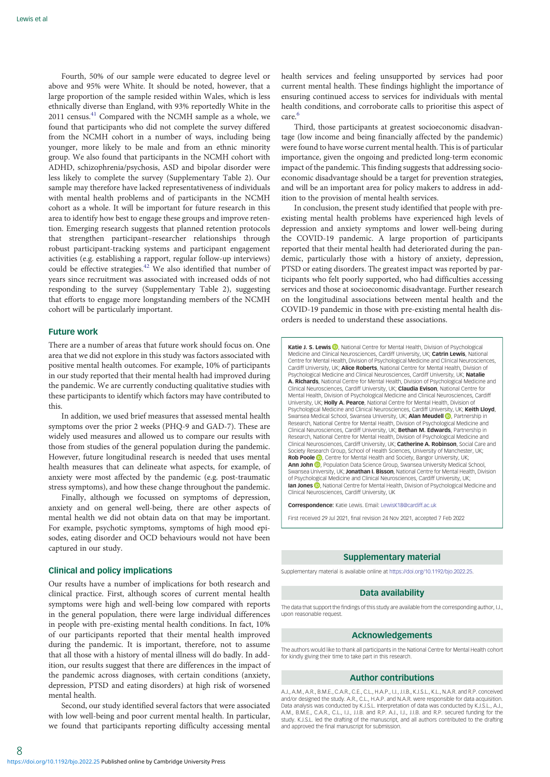Fourth, 50% of our sample were educated to degree level or above and 95% were White. It should be noted, however, that a large proportion of the sample resided within Wales, which is less ethnically diverse than England, with 93% reportedly White in the 2011 census.<sup>[41](#page-8-0)</sup> Compared with the NCMH sample as a whole, we found that participants who did not complete the survey differed from the NCMH cohort in a number of ways, including being younger, more likely to be male and from an ethnic minority group. We also found that participants in the NCMH cohort with ADHD, schizophrenia/psychosis, ASD and bipolar disorder were less likely to complete the survey (Supplementary Table 2). Our sample may therefore have lacked representativeness of individuals with mental health problems and of participants in the NCMH cohort as a whole. It will be important for future research in this area to identify how best to engage these groups and improve retention. Emerging research suggests that planned retention protocols that strengthen participant–researcher relationships through robust participant-tracking systems and participant engagement activities (e.g. establishing a rapport, regular follow-up interviews) could be effective strategies.[42](#page-8-0) We also identified that number of years since recruitment was associated with increased odds of not responding to the survey (Supplementary Table 2), suggesting that efforts to engage more longstanding members of the NCMH cohort will be particularly important.

#### Future work

There are a number of areas that future work should focus on. One area that we did not explore in this study was factors associated with positive mental health outcomes. For example, 10% of participants in our study reported that their mental health had improved during the pandemic. We are currently conducting qualitative studies with these participants to identify which factors may have contributed to this.

In addition, we used brief measures that assessed mental health symptoms over the prior 2 weeks (PHQ-9 and GAD-7). These are widely used measures and allowed us to compare our results with those from studies of the general population during the pandemic. However, future longitudinal research is needed that uses mental health measures that can delineate what aspects, for example, of anxiety were most affected by the pandemic (e.g. post-traumatic stress symptoms), and how these change throughout the pandemic.

Finally, although we focussed on symptoms of depression, anxiety and on general well-being, there are other aspects of mental health we did not obtain data on that may be important. For example, psychotic symptoms, symptoms of high mood episodes, eating disorder and OCD behaviours would not have been captured in our study.

## Clinical and policy implications

Our results have a number of implications for both research and clinical practice. First, although scores of current mental health symptoms were high and well-being low compared with reports in the general population, there were large individual differences in people with pre-existing mental health conditions. In fact, 10% of our participants reported that their mental health improved during the pandemic. It is important, therefore, not to assume that all those with a history of mental illness will do badly. In addition, our results suggest that there are differences in the impact of the pandemic across diagnoses, with certain conditions (anxiety, depression, PTSD and eating disorders) at high risk of worsened mental health.

Second, our study identified several factors that were associated with low well-being and poor current mental health. In particular, we found that participants reporting difficulty accessing mental

health services and feeling unsupported by services had poor current mental health. These findings highlight the importance of ensuring continued access to services for individuals with mental health conditions, and corroborate calls to prioritise this aspect of  $care<sup>6</sup>$  $care<sup>6</sup>$  $care<sup>6</sup>$ 

Third, those participants at greatest socioeconomic disadvantage (low income and being financially affected by the pandemic) were found to have worse current mental health. This is of particular importance, given the ongoing and predicted long-term economic impact of the pandemic. This finding suggests that addressing socioeconomic disadvantage should be a target for prevention strategies, and will be an important area for policy makers to address in addition to the provision of mental health services.

In conclusion, the present study identified that people with preexisting mental health problems have experienced high levels of depression and anxiety symptoms and lower well-being during the COVID-19 pandemic. A large proportion of participants reported that their mental health had deteriorated during the pandemic, particularly those with a history of anxiety, depression, PTSD or eating disorders. The greatest impact was reported by participants who felt poorly supported, who had difficulties accessing services and those at socioeconomic disadvantage. Further research on the longitudinal associations between mental health and the COVID-19 pandemic in those with pre-existing mental health disorders is needed to understand these associations.

Katie J. S. Lewis **D**. National Centre for Mental Health, Division of Psychological Medicine and Clinical Neurosciences, Cardiff University, UK; Catrin Lewis, National Centre for Mental Health, Division of Psychological Medicine and Clinical Neurosciences, Cardiff University, UK; Alice Roberts, National Centre for Mental Health, Division of Psychological Medicine and Clinical Neurosciences, Cardiff University, UK; Natalie A. Richards, National Centre for Mental Health, Division of Psychological Medicine and Clinical Neurosciences, Cardiff University, UK; Claudia Evison, National Centre for Mental Health, Division of Psychological Medicine and Clinical Neurosciences, Cardiff University, UK; Holly A. Pearce, National Centre for Mental Health, Division of Psychological Medicine and Clinical Neurosciences, Cardiff University, UK; Keith Lloyd, Swansea Medical School, Swansea University, UK; Alan Meudell D, Partnership in Research, National Centre for Mental Health, Division of Psychological Medicine and Clinical Neurosciences, Cardiff University, UK; Bethan M. Edwards, Partnership in Research, National Centre for Mental Health, Division of Psychological Medicine and Clinical Neurosciences, Cardiff University, UK; Catherine A. Robinson, Social Care and Society Research Group, School of Health Sciences, University of Manchester, UK; Rob Poole <sup>(b</sup>)[,](https://orcid.org/0000-0002-7914-3981) Centre for Mental Health and Society, Bangor University, UK; Ann John **D**[,](https://orcid.org/0000-0002-5657-6995) Population Data Science Group, Swansea University Medical School Swansea University, UK; Jonathan I. Bisson, National Centre for Mental Health, Division of Psychological Medicine and Clinical Neurosciences, Cardiff University, UK; **Ian Jones D**[,](https://orcid.org/0000-0001-5821-5889) National Centre for Mental Health, Division of Psychological Medicine and Clinical Neurosciences, Cardiff University, UK

Correspondence: Katie Lewis. Email: [LewisK18@cardiff.ac.uk](mailto:LewisK18@cardiff.ac.uk )

First received 29 Jul 2021, final revision 24 Nov 2021, accepted 7 Feb 2022

#### Supplementary material

Supplementary material is available online at <https://doi.org/10.1192/bjo.2022.25>.

#### Data availability

The data that support the findings of this study are available from the corresponding author, I.J. upon reasonable request.

#### Acknowledgements

The authors would like to thank all participants in the National Centre for Mental Health cohort for kindly giving their time to take part in this research.

#### Author contributions

A.J., A.M., A.R., B.M.E., C.A.R., C.E., C.L., H.A.P., I.J., J.I.B., K.J.S.L., K.L., N.A.R. and R.P. conceived and/or designed the study. A.R., C.L., H.A.P. and N.A.R. were responsible for data acquisition. Data analysis was conducted by K.J.S.L. Interpretation of data was conducted by K.J.S.L., A.J., A.M., B.M.E., C.A.R., C.L., I.J., J.I.B. and R.P. A.J., I.J., J.I.B. and R.P. secured funding for the study. K.J.S.L. led the drafting of the manuscript, and all authors contributed to the drafting and approved the final manuscript for submission.